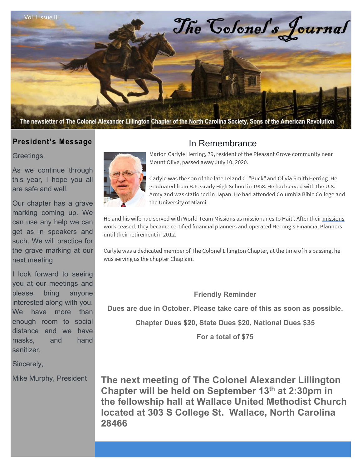

#### **President's Message**

Greetings,

As we continue through this year, I hope you all are safe and well.

Our chapter has a grave marking coming up. We can use any help we can get as in speakers and such. We will practice for the grave marking at our next meeting

I look forward to seeing you at our meetings and please bring anyone interested along with you. We have more than enough room to social distance and we have masks, and hand sanitizer.

Sincerely,

Mike Murphy, President



# In Remembrance

Marion Carlyle Herring, 79, resident of the Pleasant Grove community near Mount Olive, passed away July 10, 2020.

Carlyle was the son of the late Leland C. "Buck" and Olivia Smith Herring. He graduated from B.F. Grady High School in 1958. He had served with the U.S. Army and was stationed in Japan. He had attended Columbia Bible College and the University of Miami.

He and his wife had served with World Team Missions as missionaries to Haiti. After their missions work ceased, they became certified financial planners and operated Herring's Financial Planners until their retirement in 2012.

Carlyle was a dedicated member of The Colonel Lillington Chapter, at the time of his passing, he was serving as the chapter Chaplain.

**Friendly Reminder** 

**Dues are due in October. Please take care of this as soon as possible.** 

**Chapter Dues \$20, State Dues \$20, National Dues \$35** 

**For a total of \$75** 

**The next meeting of The Colonel Alexander Lillington Chapter will be held on September 13th at 2:30pm in the fellowship hall at Wallace United Methodist Church located at 303 S College St. Wallace, North Carolina 28466**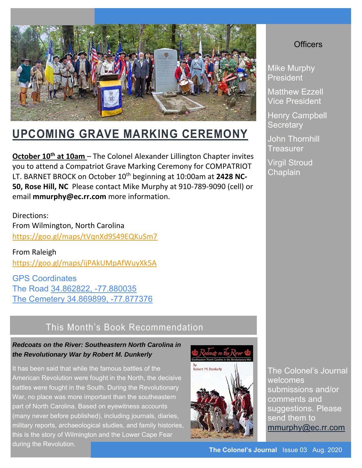

# **UPCOMING GRAVE MARKING CEREMONY**

**October 10<sup>th</sup> at 10am** – The Colonel Alexander Lillington Chapter invites you to attend a Compatriot Grave Marking Ceremony for COMPATRIOT LT. BARNET BROCK on October 10<sup>th</sup> beginning at 10:00am at 2428 NC-**50, Rose Hill, NC** Please contact Mike Murphy at 910‐789‐9090 (cell) or email **mmurphy@ec.rr.com** more information.

Directions: From Wilmington, North Carolina https://goo.gl/maps/tVqnXd9S49EQKuSm7

From Raleigh https://goo.gl/maps/ijPAkUMpAfWuyXk5A

GPS Coordinates The Road 34.862822, -77.880035 The Cemetery 34.869899, -77.877376

# This Month's Book Recommendation

#### *Redcoats on the River: Southeastern North Carolina in the Revolutionary War by Robert M. Dunkerly*

It has been said that while the famous battles of the American Revolution were fought in the North, the decisive battles were fought in the South. During the Revolutionary War, no place was more important than the southeastern part of North Carolina. Based on eyewitness accounts (many never before published), including journals, diaries, military reports, archaeological studies, and family histories, this is the story of Wilmington and the Lower Cape Fear during the Revolution. **The Colonel's Journal** Issue 03 Aug. 2020





### **Officers**

Mike Murphy President

Matthew Ezzell Vice President

Henry Campbell **Secretary** 

John Thornhill Treasurer

Virgil Stroud Chaplain

The Colonel's Journal welcomes submissions and/or comments and suggestions. Please send them to mmurphy@ec.rr.com